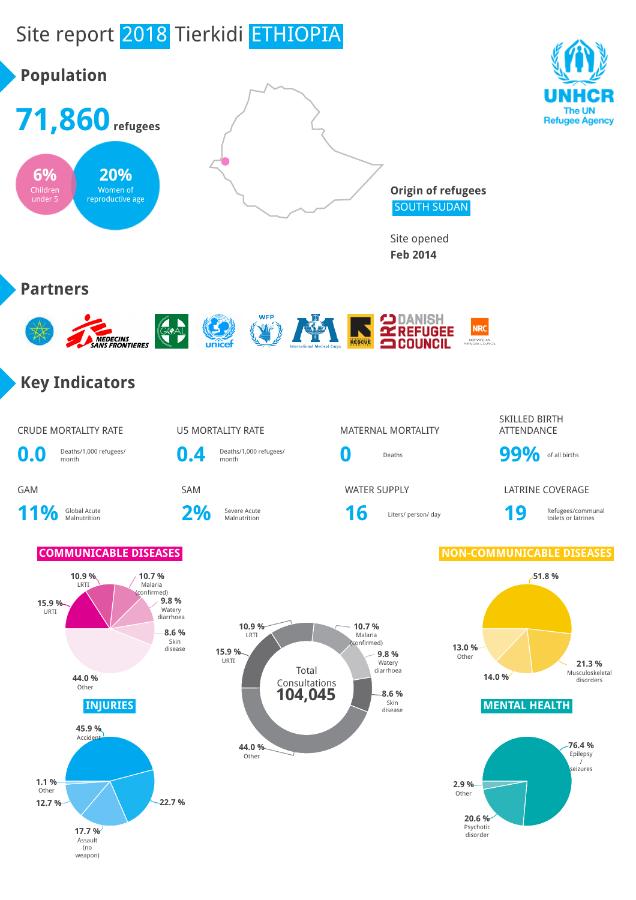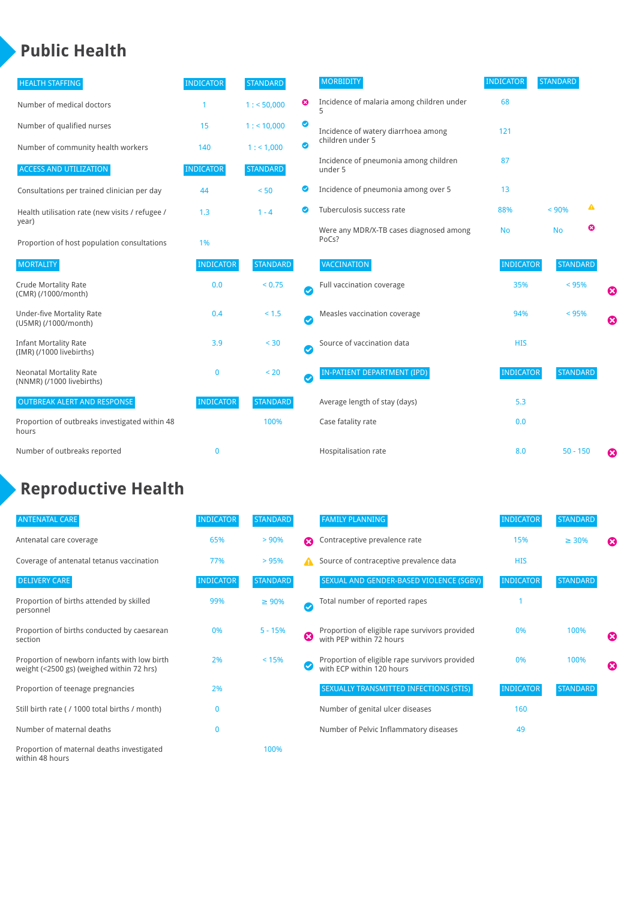### **Public Health**

| <b>HEALTH STAFFING</b>                                      | <b>INDICATOR</b> | <b>STANDARD</b> |           | <b>MORBIDITY</b>                                 | <b>INDICATOR</b> | <b>STANDARD</b> |   |   |
|-------------------------------------------------------------|------------------|-----------------|-----------|--------------------------------------------------|------------------|-----------------|---|---|
| Number of medical doctors                                   |                  | 1: 50,000       | ☺         | Incidence of malaria among children under        | 68               |                 |   |   |
| Number of qualified nurses                                  | 15               | $1:$ < 10,000   | ◙         | Incidence of watery diarrhoea among              | 121              |                 |   |   |
| Number of community health workers                          | 140              | 1: 1,000        | ◙         | children under 5                                 |                  |                 |   |   |
| <b>ACCESS AND UTILIZATION</b>                               | <b>INDICATOR</b> | <b>STANDARD</b> |           | Incidence of pneumonia among children<br>under 5 | 87               |                 |   |   |
| Consultations per trained clinician per day                 | 44               | < 50            | ◙         | Incidence of pneumonia among over 5              | 13               |                 |   |   |
| Health utilisation rate (new visits / refugee /             | 1.3              | $1 - 4$         | ◙         | Tuberculosis success rate                        | 88%              | < 90%           | ▲ |   |
| year)<br>Proportion of host population consultations        | 1%               |                 |           | Were any MDR/X-TB cases diagnosed among<br>PoCs? | <b>No</b>        | <b>No</b>       | ☺ |   |
| <b>MORTALITY</b>                                            | <b>INDICATOR</b> | <b>STANDARD</b> |           | VACCINATION                                      | <b>INDICATOR</b> | <b>STANDARD</b> |   |   |
| <b>Crude Mortality Rate</b><br>(CMR) (/1000/month)          | 0.0              | < 0.75          | Ø         | Full vaccination coverage                        | 35%              | $< 95\%$        |   | Ø |
| <b>Under-five Mortality Rate</b><br>(U5MR) (/1000/month)    | 0.4              | < 1.5           | $\bullet$ | Measles vaccination coverage                     | 94%              | < 95%           |   | 0 |
| <b>Infant Mortality Rate</b><br>(IMR) (/1000 livebirths)    | 3.9              | < 30            | $\bullet$ | Source of vaccination data                       | <b>HIS</b>       |                 |   |   |
| <b>Neonatal Mortality Rate</b><br>(NNMR) (/1000 livebirths) | $\mathbf{0}$     | < 20            | $\bullet$ | <b>IN-PATIENT DEPARTMENT (IPD)</b>               | <b>INDICATOR</b> | <b>STANDARD</b> |   |   |
| <b>OUTBREAK ALERT AND RESPONSE</b>                          | <b>INDICATOR</b> | <b>STANDARD</b> |           | Average length of stay (days)                    | 5.3              |                 |   |   |
| Proportion of outbreaks investigated within 48<br>hours     |                  | 100%            |           | Case fatality rate                               | 0.0              |                 |   |   |
| Number of outbreaks reported                                | $\mathbf{0}$     |                 |           | Hospitalisation rate                             | 8.0              | $50 - 150$      |   | Ø |

### **Reproductive Health**

| <b>ANTENATAL CARE</b>                                                                     | <b>INDICATOR</b> | <b>STANDARD</b> |   | <b>FAMILY PLANNING</b>                                                      | <b>INDICATOR</b> | <b>STANDARD</b> |   |
|-------------------------------------------------------------------------------------------|------------------|-----------------|---|-----------------------------------------------------------------------------|------------------|-----------------|---|
| Antenatal care coverage                                                                   | 65%              | > 90%           | Ω | Contraceptive prevalence rate                                               | 15%              | $\geq 30\%$     | ೞ |
| Coverage of antenatal tetanus vaccination                                                 | 77%              | >95%            |   | Source of contraceptive prevalence data                                     | <b>HIS</b>       |                 |   |
| <b>DELIVERY CARE</b>                                                                      | <b>INDICATOR</b> | <b>STANDARD</b> |   | SEXUAL AND GENDER-BASED VIOLENCE (SGBV)                                     | <b>INDICATOR</b> | <b>STANDARD</b> |   |
| Proportion of births attended by skilled<br>personnel                                     | 99%              | $\geq 90\%$     | ✓ | Total number of reported rapes                                              |                  |                 |   |
| Proportion of births conducted by caesarean<br>section                                    | 0%               | $5 - 15%$       | Ø | Proportion of eligible rape survivors provided<br>with PEP within 72 hours  | 0%               | 100%            | ೞ |
| Proportion of newborn infants with low birth<br>weight (<2500 gs) (weighed within 72 hrs) | 2%               | < 15%           |   | Proportion of eligible rape survivors provided<br>with ECP within 120 hours | 0%               | 100%            | ☎ |
| Proportion of teenage pregnancies                                                         | 2%               |                 |   | SEXUALLY TRANSMITTED INFECTIONS (STIS)                                      | <b>INDICATOR</b> | <b>STANDARD</b> |   |
| Still birth rate (/ 1000 total births / month)                                            | n                |                 |   | Number of genital ulcer diseases                                            | 160              |                 |   |
| Number of maternal deaths                                                                 | 0                |                 |   | Number of Pelvic Inflammatory diseases                                      | 49               |                 |   |
| Proportion of maternal deaths investigated<br>within 48 hours                             |                  | 100%            |   |                                                                             |                  |                 |   |